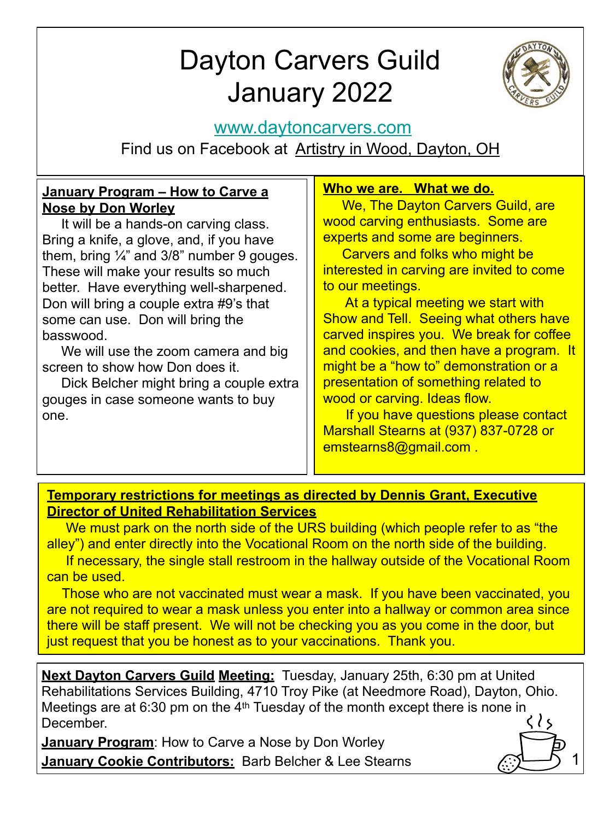# Dayton Carvers Guild January 2022



1

# [www.daytoncarvers.com](http://www.daytoncarvers.com/)

Find us on Facebook at Artistry in Wood, Dayton, OH

### **January Program – How to Carve a Nose by Don Worley**

 It will be a hands-on carving class. Bring a knife, a glove, and, if you have them, bring  $\frac{1}{4}$  and 3/8" number 9 gouges. These will make your results so much better. Have everything well-sharpened. Don will bring a couple extra #9's that some can use. Don will bring the basswood.

 We will use the zoom camera and big screen to show how Don does it.

 Dick Belcher might bring a couple extra gouges in case someone wants to buy one.

### **Who we are. What we do.**

We, The Dayton Carvers Guild, are wood carving enthusiasts. Some are experts and some are beginners.

 Carvers and folks who might be interested in carving are invited to come to our meetings.

 At a typical meeting we start with Show and Tell. Seeing what others have carved inspires you. We break for coffee and cookies, and then have a program. It might be a "how to" demonstration or a presentation of something related to wood or carving. Ideas flow.

 If you have questions please contact Marshall Stearns at (937) 837-0728 or emstearns8@gmail.com .

#### **Temporary restrictions for meetings as directed by Dennis Grant, Executive Director of United Rehabilitation Services**

 We must park on the north side of the URS building (which people refer to as "the alley") and enter directly into the Vocational Room on the north side of the building.

 If necessary, the single stall restroom in the hallway outside of the Vocational Room can be used.

 Those who are not vaccinated must wear a mask. If you have been vaccinated, you are not required to wear a mask unless you enter into a hallway or common area since there will be staff present. We will not be checking you as you come in the door, but just request that you be honest as to your vaccinations. Thank you.

**Next Dayton Carvers Guild Meeting:** Tuesday, January 25th, 6:30 pm at United Rehabilitations Services Building, 4710 Troy Pike (at Needmore Road), Dayton, Ohio. Meetings are at 6:30 pm on the 4<sup>th</sup> Tuesday of the month except there is none in  $\langle \rangle$ December.

**January Program**: How to Carve a Nose by Don Worley **January Cookie Contributors:** Barb Belcher & Lee Stearns